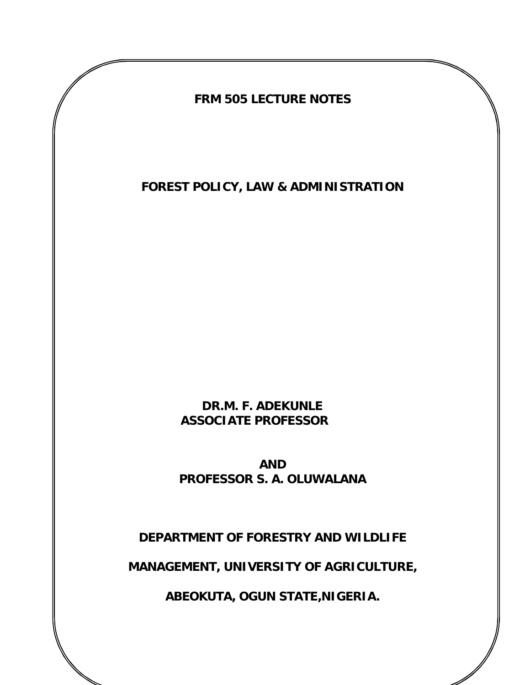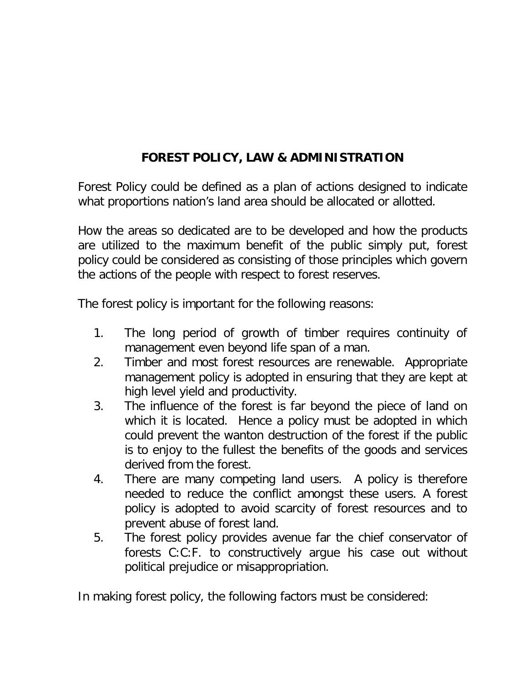## **FOREST POLICY, LAW & ADMINISTRATION**

Forest Policy could be defined as a plan of actions designed to indicate what proportions nation's land area should be allocated or allotted.

How the areas so dedicated are to be developed and how the products are utilized to the maximum benefit of the public simply put, forest policy could be considered as consisting of those principles which govern the actions of the people with respect to forest reserves.

The forest policy is important for the following reasons:

- 1. The long period of growth of timber requires continuity of management even beyond life span of a man.
- 2. Timber and most forest resources are renewable. Appropriate management policy is adopted in ensuring that they are kept at high level yield and productivity.
- 3. The influence of the forest is far beyond the piece of land on which it is located. Hence a policy must be adopted in which could prevent the wanton destruction of the forest if the public is to enjoy to the fullest the benefits of the goods and services derived from the forest.
- 4. There are many competing land users. A policy is therefore needed to reduce the conflict amongst these users. A forest policy is adopted to avoid scarcity of forest resources and to prevent abuse of forest land.
- 5. The forest policy provides avenue far the chief conservator of forests C:C:F. to constructively argue his case out without political prejudice or misappropriation.

In making forest policy, the following factors must be considered: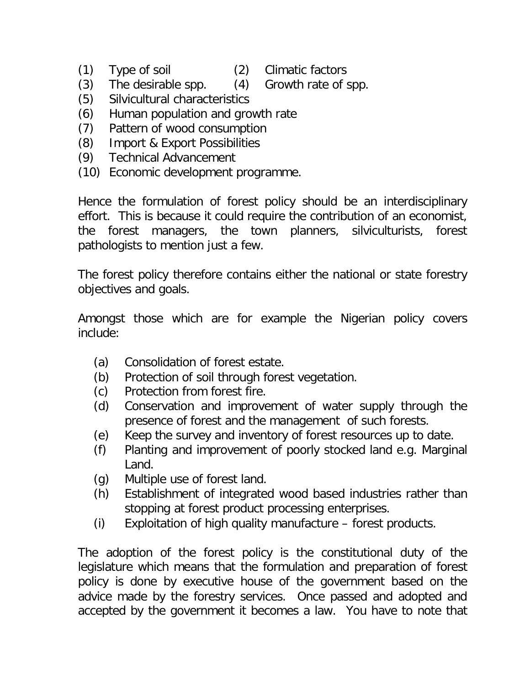- (1) Type of soil (2) Climatic factors
	-
- (3) The desirable spp. (4) Growth rate of spp.
- 
- (5) Silvicultural characteristics
- (6) Human population and growth rate
- (7) Pattern of wood consumption
- (8) Import & Export Possibilities
- (9) Technical Advancement
- (10) Economic development programme.

Hence the formulation of forest policy should be an interdisciplinary effort. This is because it could require the contribution of an economist, the forest managers, the town planners, silviculturists, forest pathologists to mention just a few.

The forest policy therefore contains either the national or state forestry objectives and goals.

Amongst those which are for example the Nigerian policy covers include:

- (a) Consolidation of forest estate.
- (b) Protection of soil through forest vegetation.
- (c) Protection from forest fire.
- (d) Conservation and improvement of water supply through the presence of forest and the management of such forests.
- (e) Keep the survey and inventory of forest resources up to date.
- (f) Planting and improvement of poorly stocked land e.g. Marginal Land.
- (g) Multiple use of forest land.
- (h) Establishment of integrated wood based industries rather than stopping at forest product processing enterprises.
- (i) Exploitation of high quality manufacture forest products.

The adoption of the forest policy is the constitutional duty of the legislature which means that the formulation and preparation of forest policy is done by executive house of the government based on the advice made by the forestry services. Once passed and adopted and accepted by the government it becomes a law. You have to note that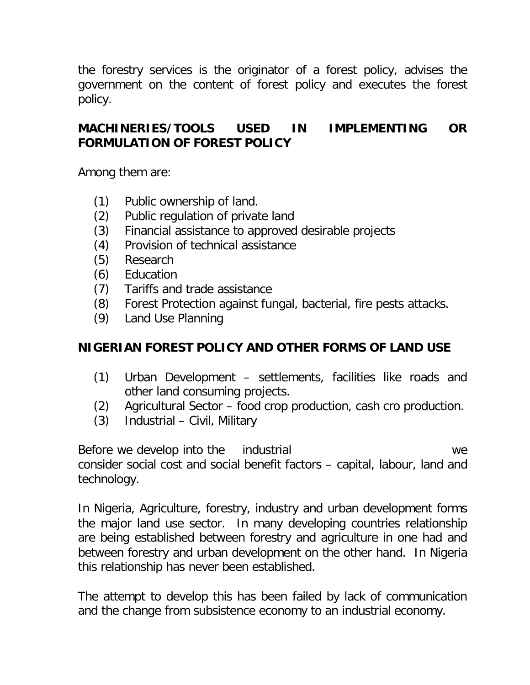the forestry services is the originator of a forest policy, advises the government on the content of forest policy and executes the forest policy.

### **MACHINERIES/TOOLS USED IN IMPLEMENTING OR FORMULATION OF FOREST POLICY**

Among them are:

- (1) Public ownership of land.
- (2) Public regulation of private land
- (3) Financial assistance to approved desirable projects
- (4) Provision of technical assistance
- (5) Research
- (6) Education
- (7) Tariffs and trade assistance
- (8) Forest Protection against fungal, bacterial, fire pests attacks.
- (9) Land Use Planning

### **NIGERIAN FOREST POLICY AND OTHER FORMS OF LAND USE**

- (1) Urban Development settlements, facilities like roads and other land consuming projects.
- (2) Agricultural Sector food crop production, cash cro production.
- (3) Industrial Civil, Military

Before we develop into the industrial example of the second we consider social cost and social benefit factors – capital, labour, land and technology.

In Nigeria, Agriculture, forestry, industry and urban development forms the major land use sector. In many developing countries relationship are being established between forestry and agriculture in one had and between forestry and urban development on the other hand. In Nigeria this relationship has never been established.

The attempt to develop this has been failed by lack of communication and the change from subsistence economy to an industrial economy.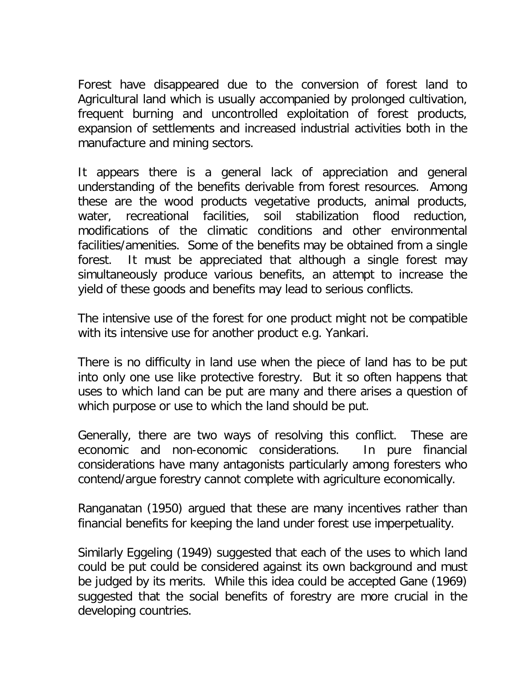Forest have disappeared due to the conversion of forest land to Agricultural land which is usually accompanied by prolonged cultivation, frequent burning and uncontrolled exploitation of forest products, expansion of settlements and increased industrial activities both in the manufacture and mining sectors.

It appears there is a general lack of appreciation and general understanding of the benefits derivable from forest resources. Among these are the wood products vegetative products, animal products, water, recreational facilities, soil stabilization flood reduction, modifications of the climatic conditions and other environmental facilities/amenities. Some of the benefits may be obtained from a single forest. It must be appreciated that although a single forest may simultaneously produce various benefits, an attempt to increase the yield of these goods and benefits may lead to serious conflicts.

The intensive use of the forest for one product might not be compatible with its intensive use for another product e.g. Yankari.

There is no difficulty in land use when the piece of land has to be put into only one use like protective forestry. But it so often happens that uses to which land can be put are many and there arises a question of which purpose or use to which the land should be put.

Generally, there are two ways of resolving this conflict. These are economic and non-economic considerations. In pure financial considerations have many antagonists particularly among foresters who contend/argue forestry cannot complete with agriculture economically.

Ranganatan (1950) argued that these are many incentives rather than financial benefits for keeping the land under forest use imperpetuality.

Similarly Eggeling (1949) suggested that each of the uses to which land could be put could be considered against its own background and must be judged by its merits. While this idea could be accepted Gane (1969) suggested that the social benefits of forestry are more crucial in the developing countries.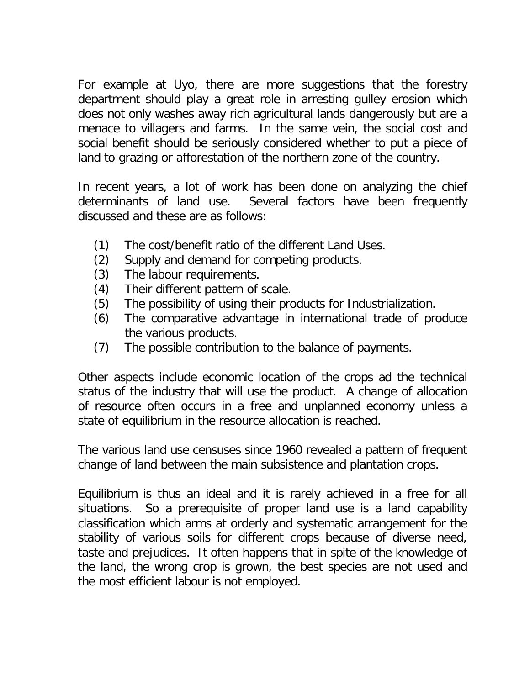For example at Uyo, there are more suggestions that the forestry department should play a great role in arresting gulley erosion which does not only washes away rich agricultural lands dangerously but are a menace to villagers and farms. In the same vein, the social cost and social benefit should be seriously considered whether to put a piece of land to grazing or afforestation of the northern zone of the country.

In recent years, a lot of work has been done on analyzing the chief determinants of land use. Several factors have been frequently discussed and these are as follows:

- (1) The cost/benefit ratio of the different Land Uses.
- (2) Supply and demand for competing products.
- (3) The labour requirements.
- (4) Their different pattern of scale.
- (5) The possibility of using their products for Industrialization.
- (6) The comparative advantage in international trade of produce the various products.
- (7) The possible contribution to the balance of payments.

Other aspects include economic location of the crops ad the technical status of the industry that will use the product. A change of allocation of resource often occurs in a free and unplanned economy unless a state of equilibrium in the resource allocation is reached.

The various land use censuses since 1960 revealed a pattern of frequent change of land between the main subsistence and plantation crops.

Equilibrium is thus an ideal and it is rarely achieved in a free for all situations. So a prerequisite of proper land use is a land capability classification which arms at orderly and systematic arrangement for the stability of various soils for different crops because of diverse need, taste and prejudices. It often happens that in spite of the knowledge of the land, the wrong crop is grown, the best species are not used and the most efficient labour is not employed.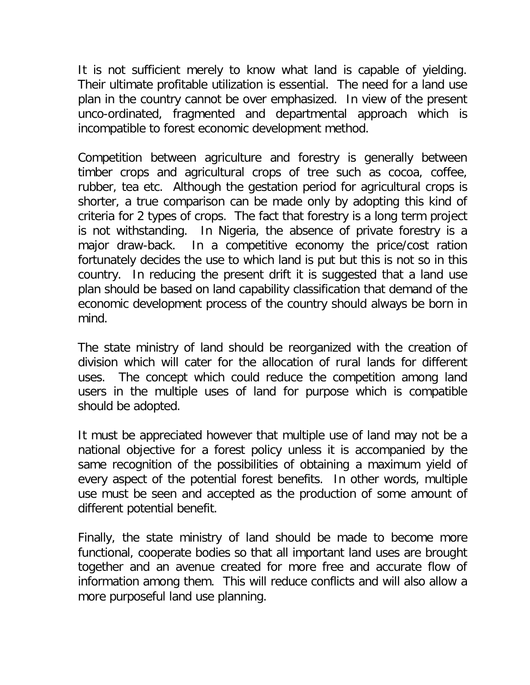It is not sufficient merely to know what land is capable of yielding. Their ultimate profitable utilization is essential. The need for a land use plan in the country cannot be over emphasized. In view of the present unco-ordinated, fragmented and departmental approach which is incompatible to forest economic development method.

Competition between agriculture and forestry is generally between timber crops and agricultural crops of tree such as cocoa, coffee, rubber, tea etc. Although the gestation period for agricultural crops is shorter, a true comparison can be made only by adopting this kind of criteria for 2 types of crops. The fact that forestry is a long term project is not withstanding. In Nigeria, the absence of private forestry is a major draw-back. In a competitive economy the price/cost ration fortunately decides the use to which land is put but this is not so in this country. In reducing the present drift it is suggested that a land use plan should be based on land capability classification that demand of the economic development process of the country should always be born in mind.

The state ministry of land should be reorganized with the creation of division which will cater for the allocation of rural lands for different uses. The concept which could reduce the competition among land users in the multiple uses of land for purpose which is compatible should be adopted.

It must be appreciated however that multiple use of land may not be a national objective for a forest policy unless it is accompanied by the same recognition of the possibilities of obtaining a maximum yield of every aspect of the potential forest benefits. In other words, multiple use must be seen and accepted as the production of some amount of different potential benefit.

Finally, the state ministry of land should be made to become more functional, cooperate bodies so that all important land uses are brought together and an avenue created for more free and accurate flow of information among them. This will reduce conflicts and will also allow a more purposeful land use planning.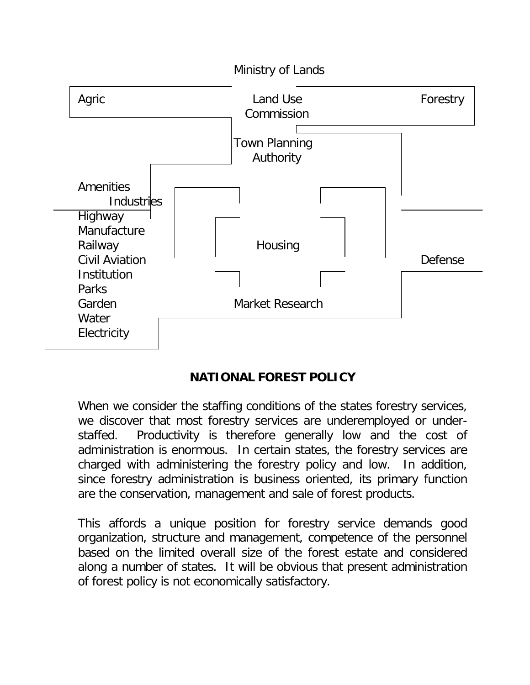

## **NATIONAL FOREST POLICY**

When we consider the staffing conditions of the states forestry services, we discover that most forestry services are underemployed or understaffed. Productivity is therefore generally low and the cost of administration is enormous. In certain states, the forestry services are charged with administering the forestry policy and low. In addition, since forestry administration is business oriented, its primary function are the conservation, management and sale of forest products.

This affords a unique position for forestry service demands good organization, structure and management, competence of the personnel based on the limited overall size of the forest estate and considered along a number of states. It will be obvious that present administration of forest policy is not economically satisfactory.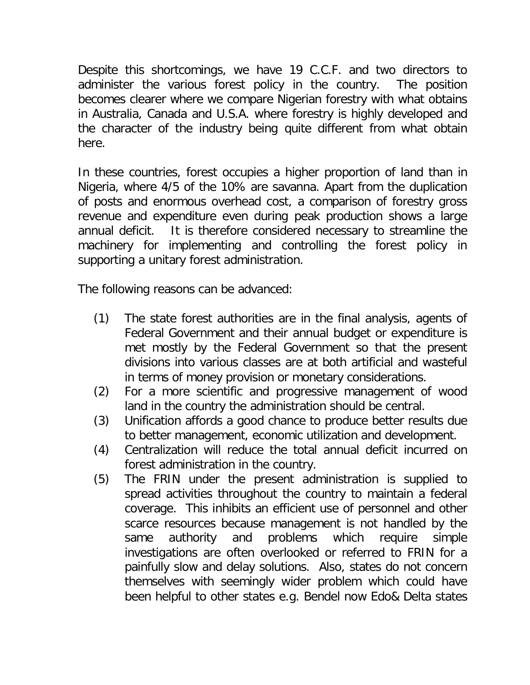Despite this shortcomings, we have 19 C.C.F. and two directors to administer the various forest policy in the country. The position becomes clearer where we compare Nigerian forestry with what obtains in Australia, Canada and U.S.A. where forestry is highly developed and the character of the industry being quite different from what obtain here.

In these countries, forest occupies a higher proportion of land than in Nigeria, where 4/5 of the 10% are savanna. Apart from the duplication of posts and enormous overhead cost, a comparison of forestry gross revenue and expenditure even during peak production shows a large annual deficit. It is therefore considered necessary to streamline the machinery for implementing and controlling the forest policy in supporting a unitary forest administration.

The following reasons can be advanced:

- (1) The state forest authorities are in the final analysis, agents of Federal Government and their annual budget or expenditure is met mostly by the Federal Government so that the present divisions into various classes are at both artificial and wasteful in terms of money provision or monetary considerations.
- (2) For a more scientific and progressive management of wood land in the country the administration should be central.
- (3) Unification affords a good chance to produce better results due to better management, economic utilization and development.
- (4) Centralization will reduce the total annual deficit incurred on forest administration in the country.
- (5) The FRIN under the present administration is supplied to spread activities throughout the country to maintain a federal coverage. This inhibits an efficient use of personnel and other scarce resources because management is not handled by the same authority and problems which require simple investigations are often overlooked or referred to FRIN for a painfully slow and delay solutions. Also, states do not concern themselves with seemingly wider problem which could have been helpful to other states e.g. Bendel now Edo& Delta states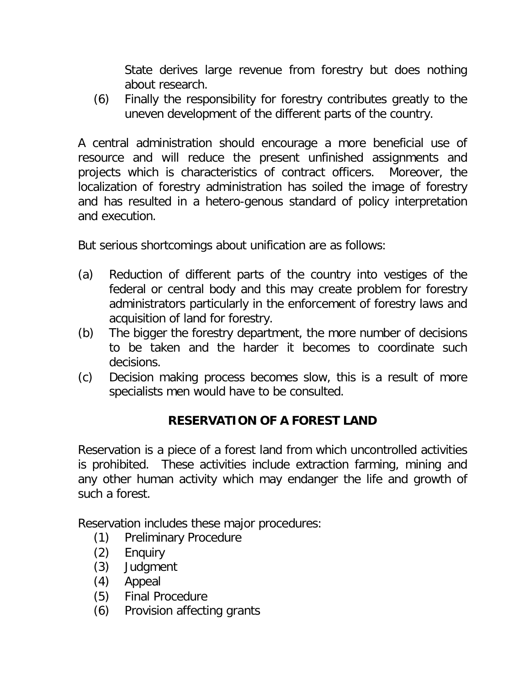State derives large revenue from forestry but does nothing about research.

(6) Finally the responsibility for forestry contributes greatly to the uneven development of the different parts of the country.

A central administration should encourage a more beneficial use of resource and will reduce the present unfinished assignments and projects which is characteristics of contract officers. Moreover, the localization of forestry administration has soiled the image of forestry and has resulted in a hetero-genous standard of policy interpretation and execution.

But serious shortcomings about unification are as follows:

- (a) Reduction of different parts of the country into vestiges of the federal or central body and this may create problem for forestry administrators particularly in the enforcement of forestry laws and acquisition of land for forestry.
- (b) The bigger the forestry department, the more number of decisions to be taken and the harder it becomes to coordinate such decisions.
- (c) Decision making process becomes slow, this is a result of more specialists men would have to be consulted.

## **RESERVATION OF A FOREST LAND**

Reservation is a piece of a forest land from which uncontrolled activities is prohibited. These activities include extraction farming, mining and any other human activity which may endanger the life and growth of such a forest.

Reservation includes these major procedures:

- (1) Preliminary Procedure
- (2) Enquiry
- (3) Judgment
- (4) Appeal
- (5) Final Procedure
- (6) Provision affecting grants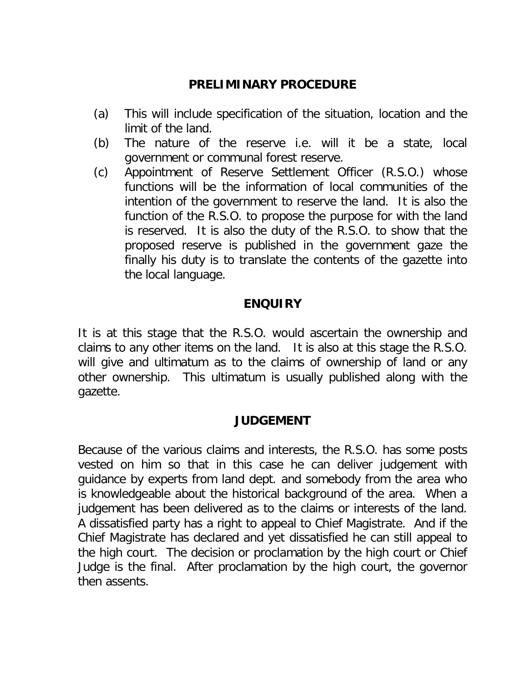### **PRELIMINARY PROCEDURE**

- (a) This will include specification of the situation, location and the limit of the land.
- (b) The nature of the reserve i.e. will it be a state, local government or communal forest reserve.
- (c) Appointment of Reserve Settlement Officer (R.S.O.) whose functions will be the information of local communities of the intention of the government to reserve the land. It is also the function of the R.S.O. to propose the purpose for with the land is reserved. It is also the duty of the R.S.O. to show that the proposed reserve is published in the government gaze the finally his duty is to translate the contents of the gazette into the local language.

### **ENQUIRY**

It is at this stage that the R.S.O. would ascertain the ownership and claims to any other items on the land. It is also at this stage the R.S.O. will give and ultimatum as to the claims of ownership of land or any other ownership. This ultimatum is usually published along with the gazette.

### **JUDGEMENT**

Because of the various claims and interests, the R.S.O. has some posts vested on him so that in this case he can deliver judgement with guidance by experts from land dept. and somebody from the area who is knowledgeable about the historical background of the area. When a judgement has been delivered as to the claims or interests of the land. A dissatisfied party has a right to appeal to Chief Magistrate. And if the Chief Magistrate has declared and yet dissatisfied he can still appeal to the high court. The decision or proclamation by the high court or Chief Judge is the final. After proclamation by the high court, the governor then assents.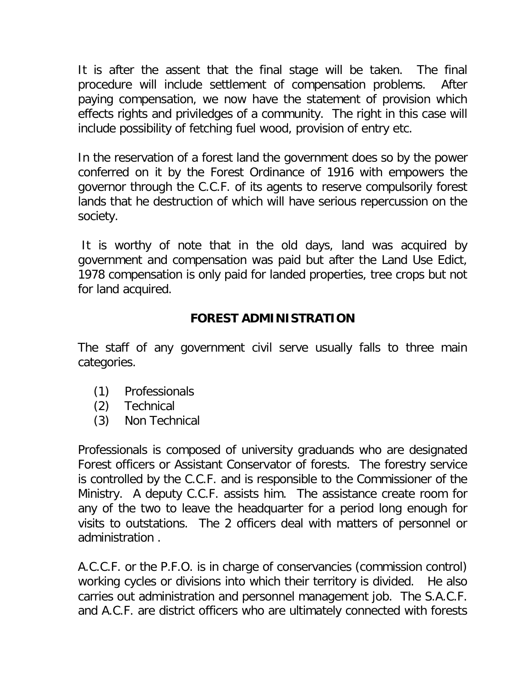It is after the assent that the final stage will be taken. The final procedure will include settlement of compensation problems. After paying compensation, we now have the statement of provision which effects rights and priviledges of a community. The right in this case will include possibility of fetching fuel wood, provision of entry etc.

In the reservation of a forest land the government does so by the power conferred on it by the Forest Ordinance of 1916 with empowers the governor through the C.C.F. of its agents to reserve compulsorily forest lands that he destruction of which will have serious repercussion on the society.

It is worthy of note that in the old days, land was acquired by government and compensation was paid but after the Land Use Edict, 1978 compensation is only paid for landed properties, tree crops but not for land acquired.

### **FOREST ADMINISTRATION**

The staff of any government civil serve usually falls to three main categories.

- (1) Professionals
- (2) Technical
- (3) Non Technical

Professionals is composed of university graduands who are designated Forest officers or Assistant Conservator of forests. The forestry service is controlled by the C.C.F. and is responsible to the Commissioner of the Ministry. A deputy C.C.F. assists him. The assistance create room for any of the two to leave the headquarter for a period long enough for visits to outstations. The 2 officers deal with matters of personnel or administration .

A.C.C.F. or the P.F.O. is in charge of conservancies (commission control) working cycles or divisions into which their territory is divided. He also carries out administration and personnel management job. The S.A.C.F. and A.C.F. are district officers who are ultimately connected with forests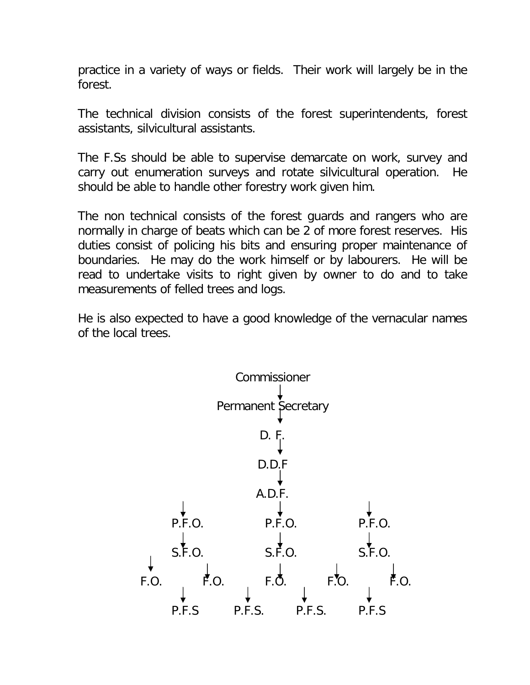practice in a variety of ways or fields. Their work will largely be in the forest.

The technical division consists of the forest superintendents, forest assistants, silvicultural assistants.

The F.Ss should be able to supervise demarcate on work, survey and carry out enumeration surveys and rotate silvicultural operation. He should be able to handle other forestry work given him.

The non technical consists of the forest guards and rangers who are normally in charge of beats which can be 2 of more forest reserves. His duties consist of policing his bits and ensuring proper maintenance of boundaries. He may do the work himself or by labourers. He will be read to undertake visits to right given by owner to do and to take measurements of felled trees and logs.

He is also expected to have a good knowledge of the vernacular names of the local trees.

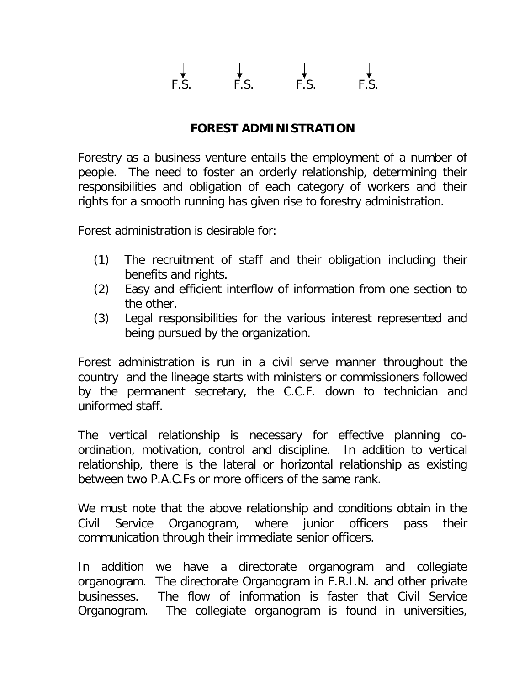# $F.S.$  F.S. F.S.

### **FOREST ADMINISTRATION**

Forestry as a business venture entails the employment of a number of people. The need to foster an orderly relationship, determining their responsibilities and obligation of each category of workers and their rights for a smooth running has given rise to forestry administration.

Forest administration is desirable for:

- (1) The recruitment of staff and their obligation including their benefits and rights.
- (2) Easy and efficient interflow of information from one section to the other.
- (3) Legal responsibilities for the various interest represented and being pursued by the organization.

Forest administration is run in a civil serve manner throughout the country and the lineage starts with ministers or commissioners followed by the permanent secretary, the C.C.F. down to technician and uniformed staff.

The vertical relationship is necessary for effective planning coordination, motivation, control and discipline. In addition to vertical relationship, there is the lateral or horizontal relationship as existing between two P.A.C.Fs or more officers of the same rank.

We must note that the above relationship and conditions obtain in the Civil Service Organogram, where junior officers pass their communication through their immediate senior officers.

In addition we have a directorate organogram and collegiate organogram. The directorate Organogram in F.R.I.N. and other private businesses. The flow of information is faster that Civil Service Organogram. The collegiate organogram is found in universities,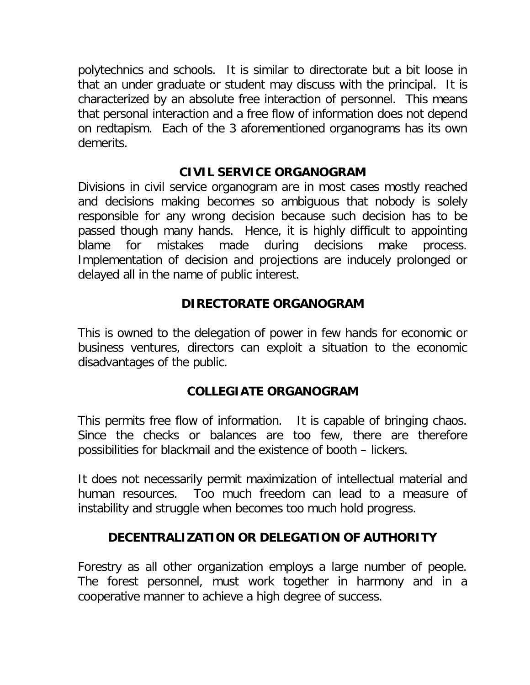polytechnics and schools. It is similar to directorate but a bit loose in that an under graduate or student may discuss with the principal. It is characterized by an absolute free interaction of personnel. This means that personal interaction and a free flow of information does not depend on redtapism. Each of the 3 aforementioned organograms has its own demerits.

### **CIVIL SERVICE ORGANOGRAM**

Divisions in civil service organogram are in most cases mostly reached and decisions making becomes so ambiguous that nobody is solely responsible for any wrong decision because such decision has to be passed though many hands. Hence, it is highly difficult to appointing blame for mistakes made during decisions make process. Implementation of decision and projections are inducely prolonged or delayed all in the name of public interest.

### **DIRECTORATE ORGANOGRAM**

This is owned to the delegation of power in few hands for economic or business ventures, directors can exploit a situation to the economic disadvantages of the public.

## **COLLEGIATE ORGANOGRAM**

This permits free flow of information. It is capable of bringing chaos. Since the checks or balances are too few, there are therefore possibilities for blackmail and the existence of booth – lickers.

It does not necessarily permit maximization of intellectual material and human resources. Too much freedom can lead to a measure of instability and struggle when becomes too much hold progress.

## **DECENTRALIZATION OR DELEGATION OF AUTHORITY**

Forestry as all other organization employs a large number of people. The forest personnel, must work together in harmony and in a cooperative manner to achieve a high degree of success.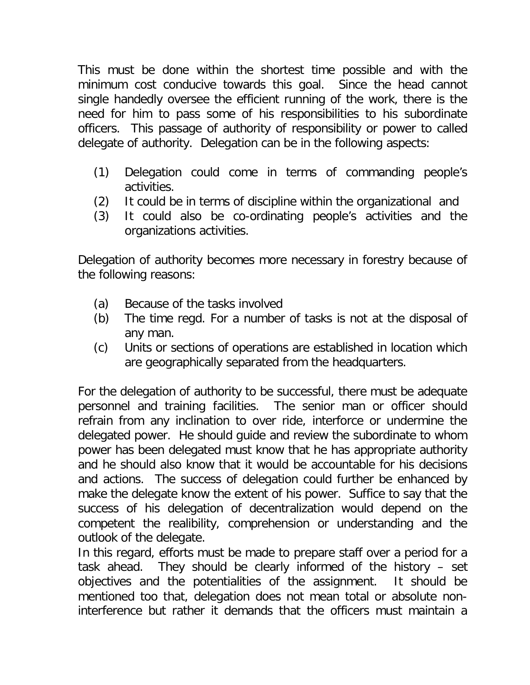This must be done within the shortest time possible and with the minimum cost conducive towards this goal. Since the head cannot single handedly oversee the efficient running of the work, there is the need for him to pass some of his responsibilities to his subordinate officers. This passage of authority of responsibility or power to called delegate of authority. Delegation can be in the following aspects:

- (1) Delegation could come in terms of commanding people's activities.
- (2) It could be in terms of discipline within the organizational and
- (3) It could also be co-ordinating people's activities and the organizations activities.

Delegation of authority becomes more necessary in forestry because of the following reasons:

- (a) Because of the tasks involved
- (b) The time regd. For a number of tasks is not at the disposal of any man.
- (c) Units or sections of operations are established in location which are geographically separated from the headquarters.

For the delegation of authority to be successful, there must be adequate personnel and training facilities. The senior man or officer should refrain from any inclination to over ride, interforce or undermine the delegated power. He should guide and review the subordinate to whom power has been delegated must know that he has appropriate authority and he should also know that it would be accountable for his decisions and actions. The success of delegation could further be enhanced by make the delegate know the extent of his power. Suffice to say that the success of his delegation of decentralization would depend on the competent the realibility, comprehension or understanding and the outlook of the delegate.

In this regard, efforts must be made to prepare staff over a period for a task ahead. They should be clearly informed of the history – set objectives and the potentialities of the assignment. It should be mentioned too that, delegation does not mean total or absolute noninterference but rather it demands that the officers must maintain a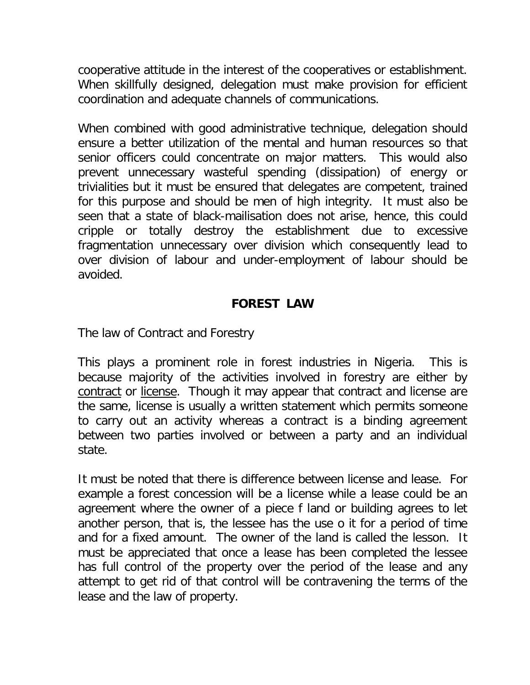cooperative attitude in the interest of the cooperatives or establishment. When skillfully designed, delegation must make provision for efficient coordination and adequate channels of communications.

When combined with good administrative technique, delegation should ensure a better utilization of the mental and human resources so that senior officers could concentrate on major matters. This would also prevent unnecessary wasteful spending (dissipation) of energy or trivialities but it must be ensured that delegates are competent, trained for this purpose and should be men of high integrity. It must also be seen that a state of black-mailisation does not arise, hence, this could cripple or totally destroy the establishment due to excessive fragmentation unnecessary over division which consequently lead to over division of labour and under-employment of labour should be avoided.

### **FOREST LAW**

The law of Contract and Forestry

This plays a prominent role in forest industries in Nigeria. This is because majority of the activities involved in forestry are either by contract or license. Though it may appear that contract and license are the same, license is usually a written statement which permits someone to carry out an activity whereas a contract is a binding agreement between two parties involved or between a party and an individual state.

It must be noted that there is difference between license and lease. For example a forest concession will be a license while a lease could be an agreement where the owner of a piece f land or building agrees to let another person, that is, the lessee has the use o it for a period of time and for a fixed amount. The owner of the land is called the lesson. It must be appreciated that once a lease has been completed the lessee has full control of the property over the period of the lease and any attempt to get rid of that control will be contravening the terms of the lease and the law of property.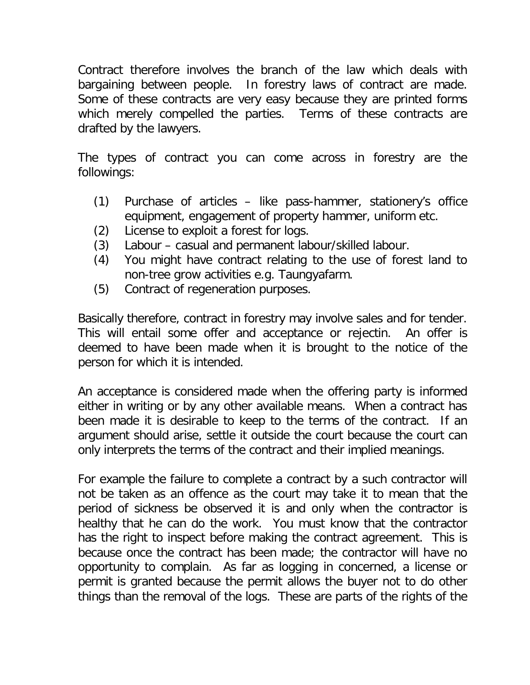Contract therefore involves the branch of the law which deals with bargaining between people. In forestry laws of contract are made. Some of these contracts are very easy because they are printed forms which merely compelled the parties. Terms of these contracts are drafted by the lawyers.

The types of contract you can come across in forestry are the followings:

- (1) Purchase of articles like pass-hammer, stationery's office equipment, engagement of property hammer, uniform etc.
- (2) License to exploit a forest for logs.
- (3) Labour casual and permanent labour/skilled labour.
- (4) You might have contract relating to the use of forest land to non-tree grow activities e.g. Taungyafarm.
- (5) Contract of regeneration purposes.

Basically therefore, contract in forestry may involve sales and for tender. This will entail some offer and acceptance or rejectin. An offer is deemed to have been made when it is brought to the notice of the person for which it is intended.

An acceptance is considered made when the offering party is informed either in writing or by any other available means. When a contract has been made it is desirable to keep to the terms of the contract. If an argument should arise, settle it outside the court because the court can only interprets the terms of the contract and their implied meanings.

For example the failure to complete a contract by a such contractor will not be taken as an offence as the court may take it to mean that the period of sickness be observed it is and only when the contractor is healthy that he can do the work. You must know that the contractor has the right to inspect before making the contract agreement. This is because once the contract has been made; the contractor will have no opportunity to complain. As far as logging in concerned, a license or permit is granted because the permit allows the buyer not to do other things than the removal of the logs. These are parts of the rights of the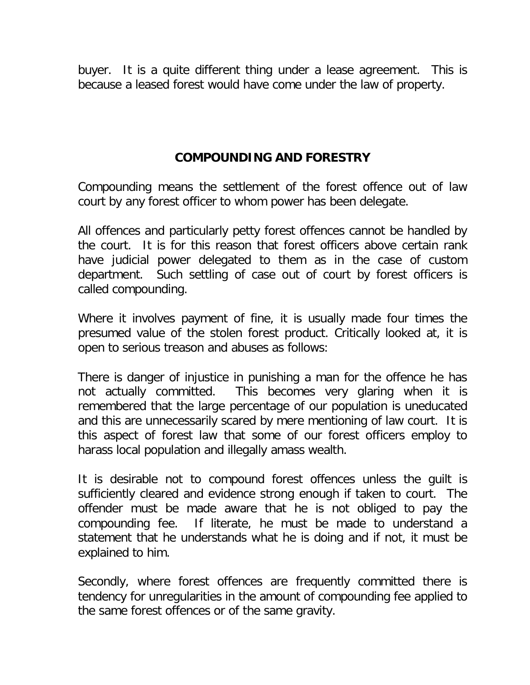buyer. It is a quite different thing under a lease agreement. This is because a leased forest would have come under the law of property.

### **COMPOUNDING AND FORESTRY**

Compounding means the settlement of the forest offence out of law court by any forest officer to whom power has been delegate.

All offences and particularly petty forest offences cannot be handled by the court. It is for this reason that forest officers above certain rank have judicial power delegated to them as in the case of custom department. Such settling of case out of court by forest officers is called compounding.

Where it involves payment of fine, it is usually made four times the presumed value of the stolen forest product. Critically looked at, it is open to serious treason and abuses as follows:

There is danger of injustice in punishing a man for the offence he has not actually committed. This becomes very glaring when it is remembered that the large percentage of our population is uneducated and this are unnecessarily scared by mere mentioning of law court. It is this aspect of forest law that some of our forest officers employ to harass local population and illegally amass wealth.

It is desirable not to compound forest offences unless the guilt is sufficiently cleared and evidence strong enough if taken to court. The offender must be made aware that he is not obliged to pay the compounding fee. If literate, he must be made to understand a statement that he understands what he is doing and if not, it must be explained to him.

Secondly, where forest offences are frequently committed there is tendency for unregularities in the amount of compounding fee applied to the same forest offences or of the same gravity.